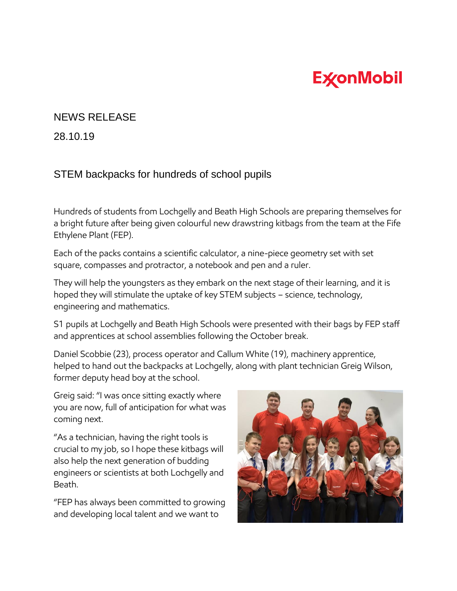## **ExconMobil**

## NEWS RELEASE

28.10.19

## STEM backpacks for hundreds of school pupils

Hundreds of students from Lochgelly and Beath High Schools are preparing themselves for a bright future after being given colourful new drawstring kitbags from the team at the Fife Ethylene Plant (FEP).

Each of the packs contains a scientific calculator, a nine-piece geometry set with set square, compasses and protractor, a notebook and pen and a ruler.

They will help the youngsters as they embark on the next stage of their learning, and it is hoped they will stimulate the uptake of key STEM subjects – science, technology, engineering and mathematics.

S1 pupils at Lochgelly and Beath High Schools were presented with their bags by FEP staff and apprentices at school assemblies following the October break.

Daniel Scobbie (23), process operator and Callum White (19), machinery apprentice, helped to hand out the backpacks at Lochgelly, along with plant technician Greig Wilson, former deputy head boy at the school.

Greig said: "I was once sitting exactly where you are now, full of anticipation for what was coming next.

"As a technician, having the right tools is crucial to my job, so I hope these kitbags will also help the next generation of budding engineers or scientists at both Lochgelly and Beath.

"FEP has always been committed to growing and developing local talent and we want to

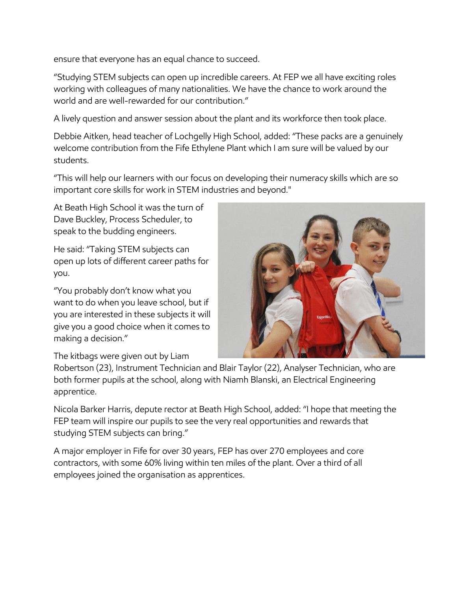ensure that everyone has an equal chance to succeed.

"Studying STEM subjects can open up incredible careers. At FEP we all have exciting roles working with colleagues of many nationalities. We have the chance to work around the world and are well-rewarded for our contribution."

A lively question and answer session about the plant and its workforce then took place.

Debbie Aitken, head teacher of Lochgelly High School, added: "These packs are a genuinely welcome contribution from the Fife Ethylene Plant which I am sure will be valued by our students.

"This will help our learners with our focus on developing their numeracy skills which are so important core skills for work in STEM industries and beyond."

At Beath High School it was the turn of Dave Buckley, Process Scheduler, to speak to the budding engineers.

He said: "Taking STEM subjects can open up lots of different career paths for you.

"You probably don't know what you want to do when you leave school, but if you are interested in these subjects it will give you a good choice when it comes to making a decision."



The kitbags were given out by Liam

Robertson (23), Instrument Technician and Blair Taylor (22), Analyser Technician, who are both former pupils at the school, along with Niamh Blanski, an Electrical Engineering apprentice.

Nicola Barker Harris, depute rector at Beath High School, added: "I hope that meeting the FEP team will inspire our pupils to see the very real opportunities and rewards that studying STEM subjects can bring."

A major employer in Fife for over 30 years, FEP has over 270 employees and core contractors, with some 60% living within ten miles of the plant. Over a third of all employees joined the organisation as apprentices.